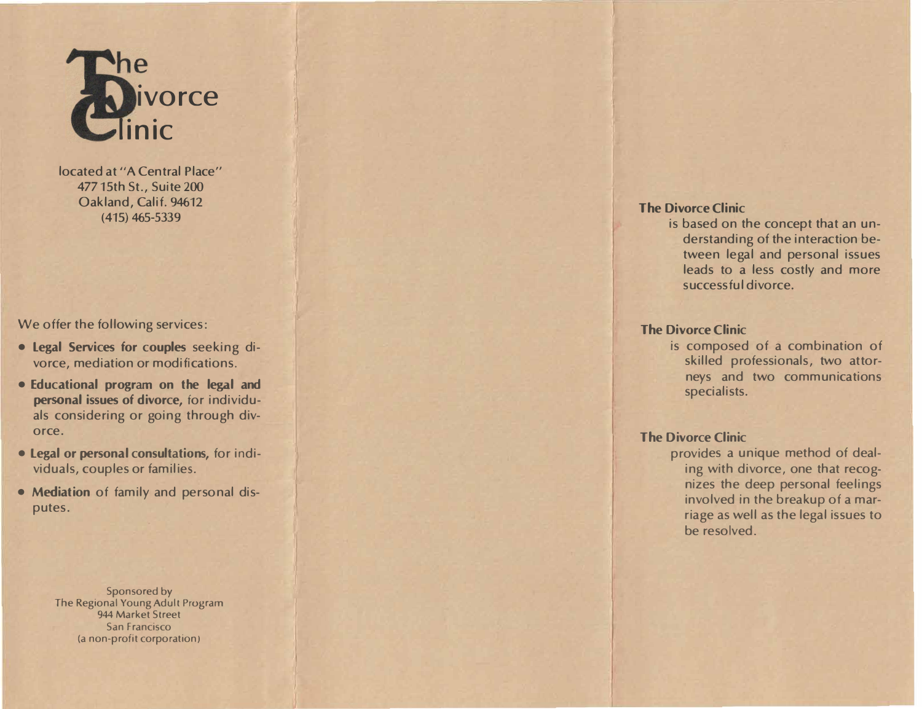

J **was a second that the second contract of the second contract of the second contract of the second contract of the second contract of the second contract of the second contract of the second contract of the second contra** 

located at "A Central Place" 477 15th St., Suite 200 Oakland, Calif. 94612 (415) 465-5339

We offer the following services:

- Legal Services for couples seeking divorce, mediation or modifications.
- Educational program on the legal and personal issues of divorce, for individuals considering or going through divorce.
- Legal or personal consultations, for individuals, couples or families.
- Mediation of family and personal disputes.

Sponsored by The Regional Young Adult Program 944 Market Street San Francisco (a non-profit corporation)

### The Divorce Clinic

is based on the concept that an understanding of the interaction between legal and personal issues leads to a less costly and more successful divorce.

# The Divorce Clinic

is composed of a combination of skilled professionals, two attorneys and two communications specialists.

# The Divorce Clinic

provides a unique method of dealing with divorce, one that recognizes the deep personal feelings involved in the breakup of a marriage as well as the legal issues to be resolved.